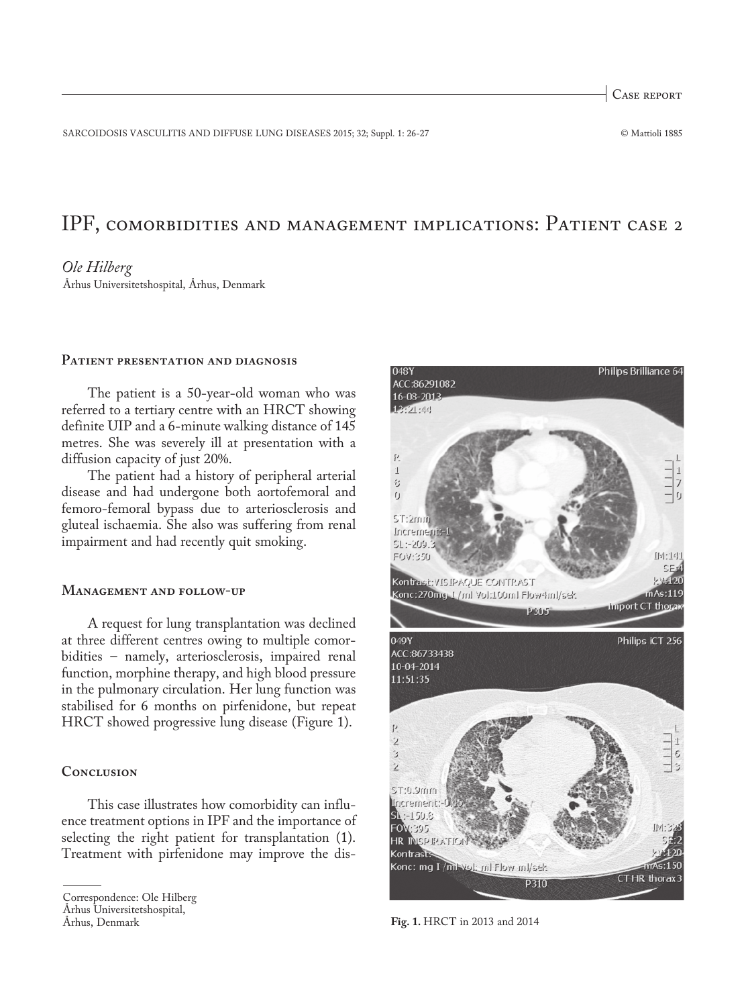Case report

SARCOIDOSIS VASCULITIS AND DIFFUSE LUNG DISEASES 2015; 32; Suppl. 1: 26-27 © Mattioli 1885

# IPF, comorbidities and management implications: Patient case 2

#### *Ole Hilberg*

Århus Universitetshospital, Århus, Denmark

## **Patient presentation and diagnosis**

The patient is a 50-year-old woman who was referred to a tertiary centre with an HRCT showing definite UIP and a 6-minute walking distance of 145 metres. She was severely ill at presentation with a diffusion capacity of just 20%.

The patient had a history of peripheral arterial disease and had undergone both aortofemoral and femoro-femoral bypass due to arteriosclerosis and gluteal ischaemia. She also was suffering from renal impairment and had recently quit smoking.

## **Management and follow-up**

A request for lung transplantation was declined at three different centres owing to multiple comorbidities – namely, arteriosclerosis, impaired renal function, morphine therapy, and high blood pressure in the pulmonary circulation. Her lung function was stabilised for 6 months on pirfenidone, but repeat HRCT showed progressive lung disease (Figure 1).

## **Conclusion**

This case illustrates how comorbidity can influence treatment options in IPF and the importance of selecting the right patient for transplantation (1). Treatment with pirfenidone may improve the dis-



**Fig. 1.** HRCT in 2013 and 2014

Correspondence: Ole Hilberg

Århus Universitetshospital,

Århus, Denmark